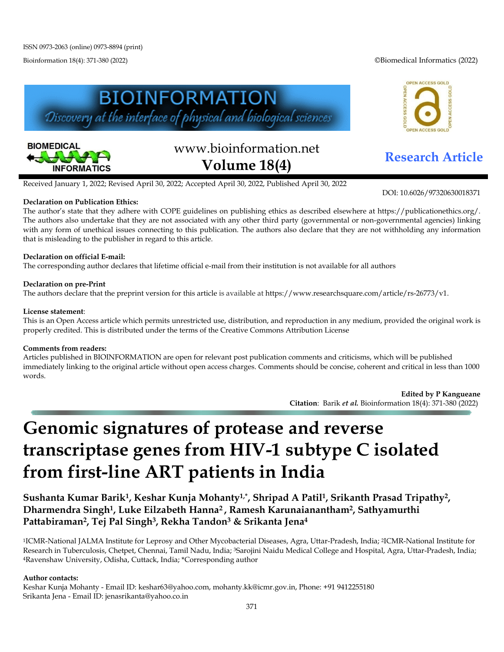Bioinformation 18(4): 371-380 (2022) ©Biomedical Informatics (2022)







# www.bioinformation.net **Research Article Volume 18(4)**

DOI: 10.6026/97320630018371

Received January 1, 2022; Revised April 30, 2022; Accepted April 30, 2022, Published April 30, 2022

## **Declaration on Publication Ethics:**

The author's state that they adhere with COPE guidelines on publishing ethics as described elsewhere at https://publicationethics.org/. The authors also undertake that they are not associated with any other third party (governmental or non-governmental agencies) linking with any form of unethical issues connecting to this publication. The authors also declare that they are not withholding any information that is misleading to the publisher in regard to this article.

## **Declaration on official E-mail:**

The corresponding author declares that lifetime official e-mail from their institution is not available for all authors

## **Declaration on pre-Print**

The authors declare that the preprint version for this article is available at [https://www.researchsquare.com/article/rs-26773/v1.](https://www.researchsquare.com/article/rs-26773/v1)

#### **License statement**:

This is an Open Access article which permits unrestricted use, distribution, and reproduction in any medium, provided the original work is properly credited. This is distributed under the terms of the Creative Commons Attribution License

#### **Comments from readers:**

Articles published in BIOINFORMATION are open for relevant post publication comments and criticisms, which will be published immediately linking to the original article without open access charges. Comments should be concise, coherent and critical in less than 1000 words.

> **Edited by P Kangueane Citation**: Barik *et al.* Bioinformation 18(4): 371-380 (2022)

## **Genomic signatures of protease and reverse transcriptase genes from HIV-1 subtype C isolated from first-line ART patients in India**

**Sushanta Kumar Barik1, Keshar Kunja Mohanty1,\*, Shripad A Patil1, Srikanth Prasad Tripathy2, Dharmendra Singh1, Luke Eilzabeth Hanna2 , Ramesh Karunaianantham2, Sathyamurthi Pattabiraman2, Tej Pal Singh3, Rekha Tandon3 & Srikanta Jena4** 

1ICMR-National JALMA Institute for Leprosy and Other Mycobacterial Diseases, Agra, Uttar-Pradesh, India; 2ICMR-National Institute for Research in Tuberculosis, Chetpet, Chennai, Tamil Nadu, India; 3Sarojini Naidu Medical College and Hospital, Agra, Uttar-Pradesh, India; 4Ravenshaw University, Odisha, Cuttack, India; \*Corresponding author

#### **Author contacts:**

Keshar Kunja Mohanty - Email ID: keshar63@yahoo.com[, mohanty.kk@icmr.gov.in,](mailto:mohanty.kk@icmr.gov.in) Phone: +91 9412255180 Srikanta Jena - Email ID: jenasrikanta@yahoo.co.in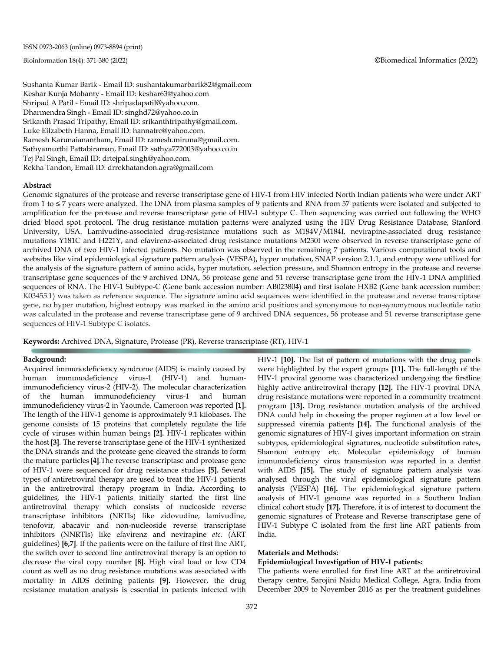Sushanta Kumar Barik - Email ID: sushantakumarbarik82@gmail.com Keshar Kunja Mohanty - Email ID: keshar63@yahoo.com Shripad A Patil - Email ID: shripadapatil@yahoo.com. Dharmendra Singh - Email ID: singhd72@yahoo.co.in Srikanth Prasad Tripathy, Email ID: srikanthtripathy@gmail.com. Luke Eilzabeth Hanna, Email ID: hannatrc@yahoo.com. Ramesh Karunaianantham, Email ID: ramesh.miruna@gmail.com. Sathyamurthi Pattabiraman, Email ID: sathya772003@yahoo.co.in Tej Pal Singh, Email ID: drtejpal.singh@yahoo.com. Rekha Tandon, Email ID: drrekhatandon.agra@gmail.com

#### **Abstract**

Genomic signatures of the protease and reverse transcriptase gene of HIV-1 from HIV infected North Indian patients who were under ART from 1 to ≤ 7 years were analyzed. The DNA from plasma samples of 9 patients and RNA from 57 patients were isolated and subjected to amplification for the protease and reverse transcriptase gene of HIV-1 subtype C. Then sequencing was carried out following the WHO dried blood spot protocol. The drug resistance mutation patterns were analyzed using the HIV Drug Resistance Database, Stanford University, USA. Lamivudine-associated drug-resistance mutations such as M184V/M184I, nevirapine-associated drug resistance mutations Y181C and H221Y, and efavirenz-associated drug resistance mutations M230I were observed in reverse transcriptase gene of archived DNA of two HIV-1 infected patients. No mutation was observed in the remaining 7 patients. Various computational tools and websites like viral epidemiological signature pattern analysis (VESPA), hyper mutation, SNAP version 2.1.1, and entropy were utilized for the analysis of the signature pattern of amino acids, hyper mutation, selection pressure, and Shannon entropy in the protease and reverse transcriptase gene sequences of the 9 archived DNA, 56 protease gene and 51 reverse transcriptase gene from the HIV-1 DNA amplified sequences of RNA. The HIV-1 Subtype-C (Gene bank accession number: AB023804) and first isolate HXB2 (Gene bank accession number: K03455.1) was taken as reference sequence. The signature amino acid sequences were identified in the protease and reverse transcriptase gene, no hyper mutation, highest entropy was marked in the amino acid positions and synonymous to non-synonymous nucleotide ratio was calculated in the protease and reverse transcriptase gene of 9 archived DNA sequences, 56 protease and 51 reverse transcriptase gene sequences of HIV-1 Subtype C isolates.

**Keywords:** Archived DNA, Signature, Protease (PR), Reverse transcriptase (RT), HIV-1

#### **Background:**

Acquired immunodeficiency syndrome (AIDS) is mainly caused by human immunodeficiency virus-1 (HIV-1) and humanimmunodeficiency virus-2 (HIV-2). The molecular characterization of the human immunodeficiency virus-1 and human immunodeficiency virus-2 in Yaounde, Cameroon was reported **[1].** The length of the HIV-1 genome is approximately 9.1 kilobases. The genome consists of 15 proteins that completely regulate the life cycle of viruses within human beings **[2].** HIV-1 replicates within the host**[3]**. The reverse transcriptase gene of the HIV-1 synthesized the DNA strands and the protease gene cleaved the strands to form the mature particles **[4]**.The reverse transcriptase and protease gene of HIV-1 were sequenced for drug resistance studies **[5].** Several types of antiretroviral therapy are used to treat the HIV-1 patients in the antiretroviral therapy program in India. According to guidelines, the HIV-1 patients initially started the first line antiretroviral therapy which consists of nucleoside reverse transcriptase inhibitors (NRTIs) like zidovudine, lamivudine, tenofovir, abacavir and non-nucleoside reverse transcriptase inhibitors (NNRTIs) like efavirenz and nevirapine *etc.* (ART guidelines) **[6,7]**. If the patients were on the failure of first line ART, the switch over to second line antiretroviral therapy is an option to decrease the viral copy number **[8].** High viral load or low CD4 count as well as no drug resistance mutations was associated with mortality in AIDS defining patients **[9].** However, the drug resistance mutation analysis is essential in patients infected with HIV-1 **[10].** The list of pattern of mutations with the drug panels were highlighted by the expert groups **[11].** The full-length of the HIV-1 proviral genome was characterized undergoing the firstline highly active antiretroviral therapy **[12].** The HIV-1 proviral DNA drug resistance mutations were reported in a community treatment program **[13].** Drug resistance mutation analysis of the archived DNA could help in choosing the proper regimen at a low level or suppressed viremia patients **[14].** The functional analysis of the genomic signatures of HIV-1 gives important information on strain subtypes, epidemiological signatures, nucleotide substitution rates, Shannon entropy etc. Molecular epidemiology of human immunodeficiency virus transmission was reported in a dentist with AIDS **[15].** The study of signature pattern analysis was analysed through the viral epidemiological signature pattern analysis (VESPA) **[16].** The epidemiological signature pattern analysis of HIV-1 genome was reported in a Southern Indian clinical cohort study **[17].** Therefore, it is of interest to document the genomic signatures of Protease and Reverse transcriptase gene of HIV-1 Subtype C isolated from the first line ART patients from India.

#### **Materials and Methods:**

### **Epidemiological Investigation of HIV-1 patients:**

The patients were enrolled for first line ART at the antiretroviral therapy centre, Sarojini Naidu Medical College, Agra, India from December 2009 to November 2016 as per the treatment guidelines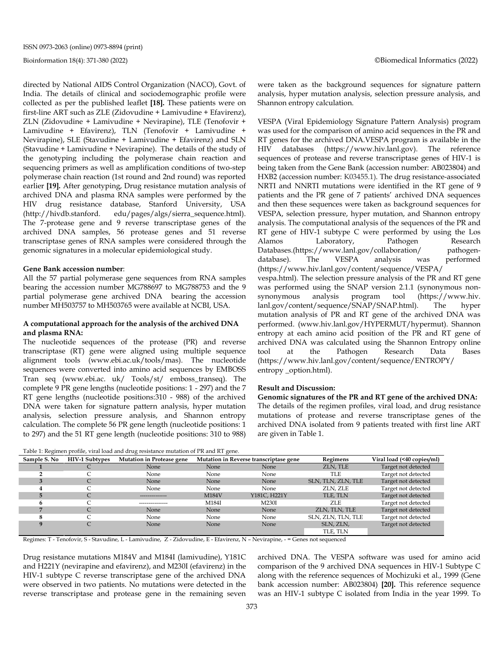directed by National AIDS Control Organization (NACO), Govt. of India. The details of clinical and sociodemographic profile were collected as per the published leaflet **[18].** These patients were on first-line ART such as ZLE (Zidovudine + Lamivudine + Efavirenz), ZLN (Zidovudine + Lamivudine + Nevirapine), TLE (Tenofovir + Lamivudine + Efavirenz), TLN (Tenofovir + Lamivudine + Nevirapine), SLE (Stavudine + Lamivudine + Efavirenz) and SLN (Stavudine + Lamivudine + Nevirapine). The details of the study of the genotyping including the polymerase chain reaction and sequencing primers as well as amplification conditions of two-step polymerase chain reaction (1st round and 2nd round) was reported earlier **[19].** After genotyping, Drug resistance mutation analysis of archived DNA and plasma RNA samples were performed by the HIV drug resistance database, Stanford University, USA (http://hivdb.stanford. edu/pages/algs/sierra\_sequence.html). The 7-protease gene and 9 reverse transcriptase genes of the archived DNA samples, 56 protease genes and 51 reverse transcriptase genes of RNA samples were considered through the genomic signatures in a molecular epidemiological study.

#### **Gene Bank accession number**:

All the 57 partial polymerase gene sequences from RNA samples bearing the accession number MG788697 to MG788753 and the 9 partial polymerase gene archived DNA bearing the accession number MH503757 to MH503765 were available at NCBI, USA.

#### **A computational approach for the analysis of the archived DNA and plasma RNA:**

The nucleotide sequences of the protease (PR) and reverse transcriptase (RT) gene were aligned using multiple sequence alignment tools (www.ebi.ac.uk/tools/mas). The nucleotide sequences were converted into amino acid sequences by EMBOSS Tran seq [\(www.ebi.ac. uk/ Tools/st/ emboss\\_transeq\). The](http://www.ebi.ac.uk/Tools/st/emboss_transeq).%20The) complete 9 PR gene lengths (nucleotide positions: 1 - 297) and the 7 RT gene lengths (nucleotide positions:310 - 988) of the archived DNA were taken for signature pattern analysis, hyper mutation analysis, selection pressure analysis, and Shannon entropy calculation. The complete 56 PR gene length (nucleotide positions: 1 to 297) and the 51 RT gene length (nucleotide positions: 310 to 988) were taken as the background sequences for signature pattern analysis, hyper mutation analysis, selection pressure analysis, and Shannon entropy calculation.

VESPA (Viral Epidemiology Signature Pattern Analysis) program was used for the comparison of amino acid sequences in the PR and RT genes for the archived DNA.VESPA program is available in the HIV databases (https://www.hiv.lanl.gov). The reference sequences of protease and reverse transcriptase genes of HIV-1 is being taken from the Gene Bank (accession number: AB023804) and HXB2 (accession number: K03455.1). The drug resistance-associated NRTI and NNRTI mutations were identified in the RT gene of 9 patients and the PR gene of 7 patients' archived DNA sequences and then these sequences were taken as background sequences for VESPA, selection pressure, hyper mutation, and Shannon entropy analysis. The computational analysis of the sequences of the PR and RT gene of HIV-1 subtype C were performed by using the Los Alamos Laboratory, Pathogen Research Databases.(https://www.lanl.gov/collaboration/ pathogendatabase). The VESPA analysis was performed (https://www.hiv.lanl.gov/content/sequence/VESPA/ vespa.html). The selection pressure analysis of the PR and RT gene was performed using the SNAP version 2.1.1 (synonymous non-<br>synonymous analysis program tool (https://www.hiv. synonymous analysis program tool (https://www.hiv. lanl.gov/content/sequence/SNAP/SNAP.html). The hyper mutation analysis of PR and RT gene of the archived DNA was performed. [\(www.hiv.lanl.gov/HYPERMUT/hypermut\)](http://www.hiv.lanl.gov/HYPERMUT/hypermut). Shannon entropy at each amino acid position of the PR and RT gene of archived DNA was calculated using the Shannon Entropy online tool at the Pathogen Research Data Bases (https://www.hiv.lanl.gov/content/sequence/ENTROPY/ entropy \_option.html).

#### **Result and Discussion:**

**Genomic signatures of the PR and RT gene of the archived DNA:**  The details of the regimen profiles, viral load, and drug resistance mutations of protease and reverse transcriptase genes of the archived DNA isolated from 9 patients treated with first line ART are given in Table 1.

Table 1: Regimen profile, viral load and drug resistance mutation of PR and RT gene.

| Sample S. No | <b>HIV-1 Subtypes</b> | Mutation in Protease gene |       | Mutation in Reverse transcriptase gene | Regimens           | Viral load (<40 copies/ml) |
|--------------|-----------------------|---------------------------|-------|----------------------------------------|--------------------|----------------------------|
|              |                       | None                      | None  | None                                   | ZLN, TLE           | Target not detected        |
|              |                       | None                      | None  | None                                   | TLE                | Target not detected        |
|              |                       | None                      | None  | None                                   | SLN, TLN, ZLN, TLE | Target not detected        |
|              |                       | None                      | None  | None                                   | ZLN, ZLE           | Target not detected        |
|              |                       | --------------            | M184V | Y181C, H221Y                           | TLE, TLN           | Target not detected        |
| 6            |                       | ---------------           | M184I | M230I                                  | ZLE                | Target not detected        |
|              | C                     | None                      | None  | None                                   | ZLN, TLN, TLE      | Target not detected        |
|              |                       | None                      | None  | None                                   | SLN, ZLN, TLN, TLE | Target not detected        |
| Q            |                       | None                      | None  | None                                   | SLN, ZLN,          | Target not detected        |
|              |                       |                           |       |                                        | TLE, TLN           |                            |

Regimes: T - Tenofovir, S - Stavudine, L - Lamivudine, Z - Zidovudine, E - Efavirenz, N – Nevirapine, - = Genes not sequenced

Drug resistance mutations M184V and M184I (lamivudine), Y181C and H221Y (nevirapine and efavirenz), and M230I (efavirenz) in the HIV-1 subtype C reverse transcriptase gene of the archived DNA were observed in two patients. No mutations were detected in the reverse transcriptase and protease gene in the remaining seven archived DNA. The VESPA software was used for amino acid comparison of the 9 archived DNA sequences in HIV-1 Subtype C along with the reference sequences of Mochizuki et al., 1999 (Gene bank accession number: AB023804) **[20].** This reference sequence was an HIV-1 subtype C isolated from India in the year 1999. To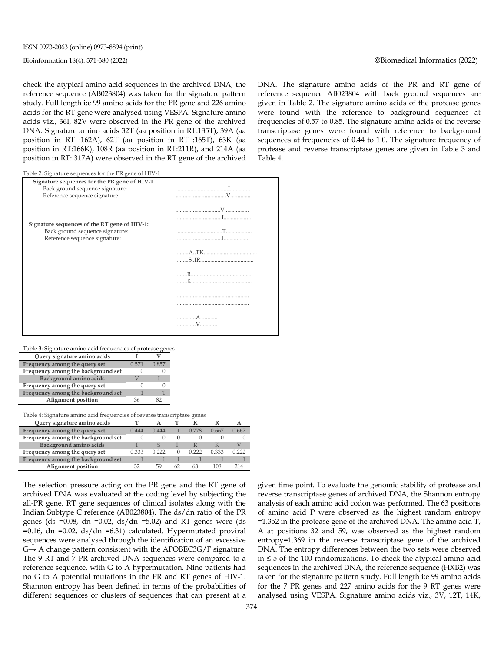check the atypical amino acid sequences in the archived DNA, the reference sequence (AB023804) was taken for the signature pattern study. Full length i:e 99 amino acids for the PR gene and 226 amino acids for the RT gene were analysed using VESPA*.* Signature amino acids viz., 36I, 82V were observed in the PR gene of the archived DNA. Signature amino acids 32T (aa position in RT:135T), 39A (aa position in RT :162A), 62T (aa position in RT :165T), 63K (aa position in RT:166K), 108R (aa position in RT:211R), and 214A (aa position in RT: 317A) were observed in the RT gene of the archived DNA. The signature amino acids of the PR and RT gene of reference sequence AB023804 with back ground sequences are given in Table 2. The signature amino acids of the protease genes were found with the reference to background sequences at frequencies of 0.57 to 0.85. The signature amino acids of the reverse transcriptase genes were found with reference to background sequences at frequencies of 0.44 to 1.0. The signature frequency of protease and reverse transcriptase genes are given in Table 3 and Table 4.

Table 2: Signature sequences for the PR gene of HIV-1

| Signature sequences for the PR gene of HIV-1 |   |
|----------------------------------------------|---|
| Back ground sequence signature:              |   |
| Reference sequence signature:                |   |
|                                              |   |
|                                              |   |
|                                              |   |
| Signature sequences of the RT gene of HIV-1: |   |
| Back ground sequence signature:              |   |
| Reference sequence signature:                |   |
|                                              |   |
|                                              |   |
|                                              |   |
|                                              |   |
|                                              |   |
|                                              |   |
|                                              |   |
|                                              |   |
|                                              |   |
|                                              |   |
|                                              |   |
|                                              | V |
|                                              |   |

#### Table 3: Signature amino acid frequencies of protease genes

| Query signature amino acids        |       |     |
|------------------------------------|-------|-----|
| Frequency among the query set      | 0.571 | 857 |
| Frequency among the background set |       |     |
| Background amino acids             |       |     |
| Frequency among the query set      |       |     |
| Frequency among the background set |       |     |
| <b>Alignment</b> position          |       |     |

#### Table 4: Signature amino acid frequencies of reverse transcriptase genes

| Query signature amino acids        |       |       |    |       |       |       |
|------------------------------------|-------|-------|----|-------|-------|-------|
| Frequency among the query set      | 0.444 | 0.444 |    | 0.778 | 0.667 | 0.667 |
| Frequency among the background set |       |       |    |       |       |       |
| Background amino acids             |       |       |    |       |       |       |
| Frequency among the query set      | 0.333 | በ ንንን |    | 0.222 | 0.333 | 0.222 |
| Frequency among the background set |       |       |    |       |       |       |
| Alignment position                 |       | 59    | 62 |       | 108   |       |

The selection pressure acting on the PR gene and the RT gene of archived DNA was evaluated at the coding level by subjecting the all-PR gene, RT gene sequences of clinical isolates along with the Indian Subtype C reference (AB023804). The ds/dn ratio of the PR genes (ds = $0.08$ , dn = $0.02$ , ds/dn = $5.02$ ) and RT genes were (ds  $=0.16$ , dn  $=0.02$ , ds/dn  $=6.31$ ) calculated. Hypermutated proviral sequences were analysed through the identification of an excessive  $G \rightarrow A$  change pattern consistent with the APOBEC3G/F signature. The 9 RT and 7 PR archived DNA sequences were compared to a reference sequence, with G to A hypermutation. Nine patients had no G to A potential mutations in the PR and RT genes of HIV-1. Shannon entropy has been defined in terms of the probabilities of different sequences or clusters of sequences that can present at a given time point. To evaluate the genomic stability of protease and reverse transcriptase genes of archived DNA, the Shannon entropy analysis of each amino acid codon was performed. The 63 positions of amino acid P were observed as the highest random entropy =1.352 in the protease gene of the archived DNA. The amino acid T, A at positions 32 and 59, was observed as the highest random entropy=1.369 in the reverse transcriptase gene of the archived DNA. The entropy differences between the two sets were observed in ≤ 5 of the 100 randomizations. To check the atypical amino acid sequences in the archived DNA, the reference sequence (HXB2) was taken for the signature pattern study. Full length i:e 99 amino acids for the 7 PR genes and 227 amino acids for the 9 RT genes were analysed using VESPA*.* Signature amino acids viz., 3V, 12T, 14K,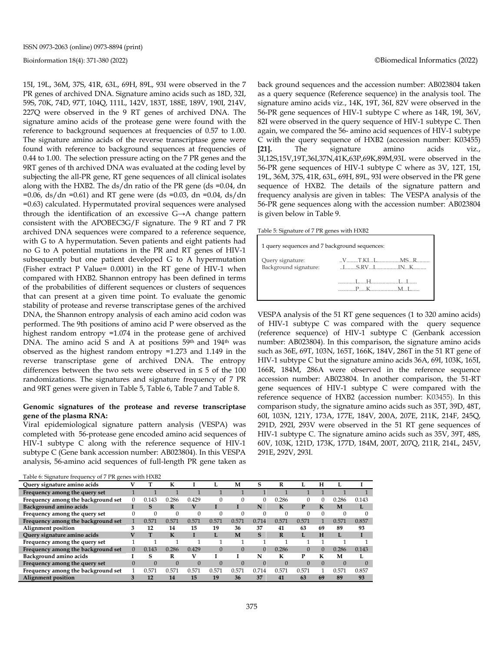15I, 19L, 36M, 37S, 41R, 63L, 69H, 89L, 93I were observed in the 7 PR genes of archived DNA. Signature amino acids such as 18D, 32I, 59S, 70K, 74D, 97T, 104Q, 111L, 142V, 183T, 188E, 189V, 190I, 214V, 227Q were observed in the 9 RT genes of archived DNA. The signature amino acids of the protease gene were found with the reference to background sequences at frequencies of 0.57 to 1.00. The signature amino acids of the reverse transcriptase gene were found with reference to background sequences at frequencies of 0.44 to 1.00. The selection pressure acting on the 7 PR genes and the 9RT genes of th archived DNA was evaluated at the coding level by subjecting the all-PR gene, RT gene sequences of all clinical isolates along with the HXB2. The ds/dn ratio of the PR gene (ds =0.04, dn  $=0.06$ , ds/dn  $=0.61$ ) and RT gene were (ds  $=0.03$ , dn  $=0.04$ , ds/dn =0.63) calculated. Hypermutated proviral sequences were analysed through the identification of an excessive G→A change pattern consistent with the APOBEC3G/F signature. The 9 RT and 7 PR archived DNA sequences were compared to a reference sequence, with G to A hypermutation. Seven patients and eight patients had no G to A potential mutations in the PR and RT genes of HIV-1 subsequently but one patient developed G to A hypermutation (Fisher extract P Value= 0.0001) in the RT gene of HIV-1 when compared with HXB2. Shannon entropy has been defined in terms of the probabilities of different sequences or clusters of sequences that can present at a given time point. To evaluate the genomic stability of protease and reverse transcriptase genes of the archived DNA, the Shannon entropy analysis of each amino acid codon was performed. The 9th positions of amino acid P were observed as the highest random entropy =1.074 in the protease gene of archived DNA. The amino acid S and A at positions 59<sup>th</sup> and 194<sup>th</sup> was observed as the highest random entropy =1.273 and 1.149 in the reverse transcriptase gene of archived DNA. The entropy differences between the two sets were observed in  $\leq 5$  of the 100 randomizations. The signatures and signature frequency of 7 PR and 9RT genes were given in Table 5, Table 6, Table 7 and Table 8.

#### **Genomic signatures of the protease and reverse transcriptase gene of the plasma RNA:**

Viral epidemiological signature pattern analysis (VESPA) was completed with 56-protease gene encoded amino acid sequences of HIV-1 subtype C along with the reference sequence of HIV-1 subtype C (Gene bank accession number: AB023804). In this VESPA analysis, 56-amino acid sequences of full-length PR gene taken as

| Table 6: Signature frequency of 7 PR genes with HXB2 |  |  |
|------------------------------------------------------|--|--|
|                                                      |  |  |

| Query signature amino acids        |          |          | к        |          |          | м     | s            | R        |          | н        |          |       |
|------------------------------------|----------|----------|----------|----------|----------|-------|--------------|----------|----------|----------|----------|-------|
| Frequency among the query set      |          |          |          |          |          |       |              |          |          |          |          |       |
| Frequency among the background set | $\theta$ | 0.143    | 0.286    | 0.429    |          |       | 0            | 0.286    |          | 0        | 0.286    | 0.143 |
| Background amino acids             |          | S        | R        | v        |          |       | N            | К        | P        | K        | M        |       |
| Frequency among the query set      | $\Omega$ |          | $\Omega$ | $\Omega$ |          |       |              | $\Omega$ |          | $\Omega$ |          |       |
| Frequency among the background set |          | 0.571    | 0.571    | 0.571    | 0.571    | 0.571 | 0.714        | 0.571    | 0.571    |          | 0.571    | 0.857 |
| Alignment position                 | 3        | 12       | 14       | 15       | 19       | 36    | 37           | 41       | 63       | 69       | 89       | 93    |
| Query signature amino acids        | v        | т        | K        |          |          | M     | $\mathbf{s}$ | R        | L        | H        | Ī.       |       |
| Frequency among the query set      |          |          |          |          |          |       |              |          |          |          |          |       |
| Frequency among the background set | $\Omega$ | 0.143    | 0.286    | 0.429    | $\Omega$ |       |              | 0.286    | $\Omega$ | $\Omega$ | 0.286    | 0.143 |
| Background amino acids             |          | s        | R        |          |          |       | N            | к        | Р        | К        | М        |       |
| Frequency among the query set      | $\Omega$ | $\Omega$ | $\Omega$ | $\Omega$ |          |       | $\Omega$     | $\Omega$ |          | $\Omega$ | $\Omega$ |       |
| Frequency among the background set |          | 0.571    | 0.571    | 0.571    | 0.571    | 0.571 | 0.714        | 0.571    | 0.571    |          | 0.571    | 0.857 |
| <b>Alignment position</b>          |          | 12       | 14       | 15       | 19       | 36    | 37           | 41       | 63       | 69       | 89       | 93    |

#### Bioinformation 18(4): 371-380 (2022) ©Biomedical Informatics (2022)

back ground sequences and the accession number: AB023804 taken as a query sequence (Reference sequence) in the analysis tool. The signature amino acids viz., 14K, 19T, 36I, 82V were observed in the 56-PR gene sequences of HIV-1 subtype C where as 14R, 19I, 36V, 82I were observed in the query sequence of HIV-1 subtype C. Then again, we compared the 56- amino acid sequences of HIV-1 subtype C with the query sequence of HXB2 (accession number: K03455) **[21].** The signature amino acids viz., 3I,12S,15V,19T,36I,37N,41K,63P,69K,89M,93L were observed in the 56-PR gene sequences of HIV-1 subtype C where as 3V, 12T, 15I, 19L, 36M, 37S, 41R, 63L, 69H, 89L, 93I were observed in the PR gene sequence of HXB2. The details of the signature pattern and frequency analysis are given in tables: The VESPA analysis of the 56-PR gene sequences along with the accession number: AB023804 is given below in Table 9.

Table 5: Signature of 7 PR genes with HXB2

| 1 query sequences and 7 background sequences: |                                                                                                                                                                                                                                                                                                                                                                                     |  |
|-----------------------------------------------|-------------------------------------------------------------------------------------------------------------------------------------------------------------------------------------------------------------------------------------------------------------------------------------------------------------------------------------------------------------------------------------|--|
| Query signature:<br>Background signature:     | VT.KILMSR<br>$I_{1}, I_{2}, I_{3}, I_{4}, I_{5}, I_{6}, I_{7}, I_{8}, I_{9}, I_{10}, I_{11}, I_{12}, I_{13}, I_{14}, I_{15}, I_{16}, I_{17}, I_{18}, I_{19}, I_{10}, I_{11}, I_{12}, I_{13}, I_{14}, I_{15}, I_{16}, I_{17}, I_{18}, I_{19}, I_{10}, I_{11}, I_{12}, I_{13}, I_{14}, I_{15}, I_{16}, I_{17}, I_{18}, I_{19}, I_{10}, I_{11}, I_{12}, I_{13}, I_{14}, I_{15}, I_{16$ |  |
|                                               | $P_{\ldots}$ K <sub>ull</sub> K <sub>ull</sub> M <sub>ull</sub> M <sub>ull</sub>                                                                                                                                                                                                                                                                                                    |  |

VESPA analysis of the 51 RT gene sequences (1 to 320 amino acids) of HIV-1 subtype C was compared with the query sequence (reference sequence) of HIV-1 subtype C (Genbank accession number: AB023804). In this comparison, the signature amino acids such as 36E, 69T, 103N, 165T, 166K, 184V, 286T in the 51 RT gene of HIV-1 subtype C but the signature amino acids 36A, 69I, 103K, 165I, 166R, 184M, 286A were observed in the reference sequence accession number: AB023804. In another comparison, the 51-RT gene sequences of HIV-1 subtype C were compared with the reference sequence of HXB2 (accession number: K03455). In this comparison study, the signature amino acids such as 35T, 39D, 48T, 60I, 103N, 121Y, 173A, 177E, 184V, 200A, 207E, 211K, 214F, 245Q, 291D, 292I, 293V were observed in the 51 RT gene sequences of HIV-1 subtype C. The signature amino acids such as 35V, 39T, 48S, 60V, 103K, 121D, 173K, 177D, 184M, 200T, 207Q, 211R, 214L, 245V, 291E, 292V, 293I.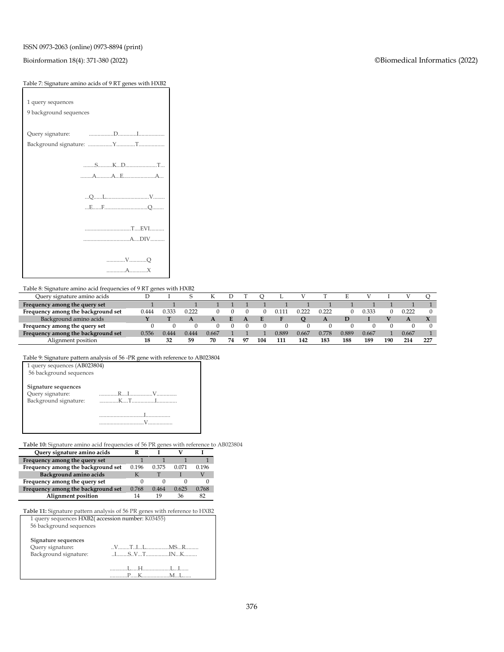#### ISSN 0973-2063 (online) 0973-8894 (print)

#### Bioinformation 18(4): 371-380 (2022) ©Biomedical Informatics (2022)

## Table 7: Signature amino acids of 9 RT genes with HXB2

| 1 query sequences      |
|------------------------|
| 9 background sequences |
|                        |
| Query signature:       |
|                        |
|                        |
| SSKD                   |
|                        |
|                        |
|                        |
|                        |
|                        |
|                        |
|                        |
|                        |
| VO                     |
|                        |

Table 8: Signature amino acid frequencies of 9 RT genes with HXB2

| Query signature amino acids        |       |       |       |       |    |    |     |       |       |       |       |       |     |       |     |
|------------------------------------|-------|-------|-------|-------|----|----|-----|-------|-------|-------|-------|-------|-----|-------|-----|
| Frequency among the query set      |       |       |       |       |    |    |     |       |       |       |       |       |     |       |     |
| Frequency among the background set | 0.444 | 2.333 | 0.222 |       |    |    |     |       |       |       |       | ).333 |     | 0.222 |     |
| Background amino acids             |       |       |       |       |    |    |     |       |       |       |       |       |     |       |     |
| Frequency among the query set      |       |       |       |       |    |    |     |       |       |       |       |       |     |       |     |
| Frequency among the background set | J.556 | 0.444 | 0.444 | 0.667 |    |    |     | 0.889 | 0.667 | 0.778 | 0.889 | 0.667 |     | 0.667 |     |
| Alignment position                 |       | 32    | 59    | 70    | 74 | o۳ | 104 | 111   | 142   | 18:   | 188   | 189   | 190 | 214   | 227 |

Table 9: Signature pattern analysis of 56 -PR gene with reference to AB023804

| 1 query sequences (AB023804)<br>56 background sequences          |                                                                |
|------------------------------------------------------------------|----------------------------------------------------------------|
| Signature sequences<br>Query signature:<br>Background signature: |                                                                |
|                                                                  | the contract of the contract of the contract of<br>$\mathbf V$ |

**Table 10:** Signature amino acid frequencies of 56 PR genes with reference to AB023804

| Query signature amino acids        |       |       |       |       |
|------------------------------------|-------|-------|-------|-------|
| Frequency among the query set      |       |       |       |       |
| Frequency among the background set | 0.196 | 0.375 | 0.071 | 0.196 |
| Background amino acids             |       |       |       |       |
| Frequency among the query set      |       |       |       |       |
| Frequency among the background set | 0.768 | 0.464 | 0.625 | 0.768 |
| Alignment position                 | 14    | 10    | 36    | 82    |

**Table 11:** Signature pattern analysis of 56 PR genes with reference to HXB2 1 query sequences HXB2( accession number: K03455)

| Signature sequences<br>Query signature: |                                                                                                                                                                                                                                                                                                                                                                        |
|-----------------------------------------|------------------------------------------------------------------------------------------------------------------------------------------------------------------------------------------------------------------------------------------------------------------------------------------------------------------------------------------------------------------------|
| Background signature:                   | $I_{1}, I_{2}, I_{3}, I_{4}, I_{5}, I_{6}, I_{7}, I_{8}, I_{9}, I_{10}, I_{11}, I_{12}, I_{13}, I_{14}, I_{15}, I_{16}, I_{17}, I_{18}, I_{19}, I_{10}, I_{11}, I_{12}, I_{13}, I_{14}, I_{15}, I_{16}, I_{17}, I_{18}, I_{19}, I_{10}, I_{11}, I_{12}, I_{13}, I_{14}, I_{15}, I_{16}, I_{17}, I_{18}, I_{19}, I_{10}, I_{11}, I_{12}, I_{13}, I_{14}, I_{15}, I_{16$ |
|                                         |                                                                                                                                                                                                                                                                                                                                                                        |
|                                         |                                                                                                                                                                                                                                                                                                                                                                        |
|                                         |                                                                                                                                                                                                                                                                                                                                                                        |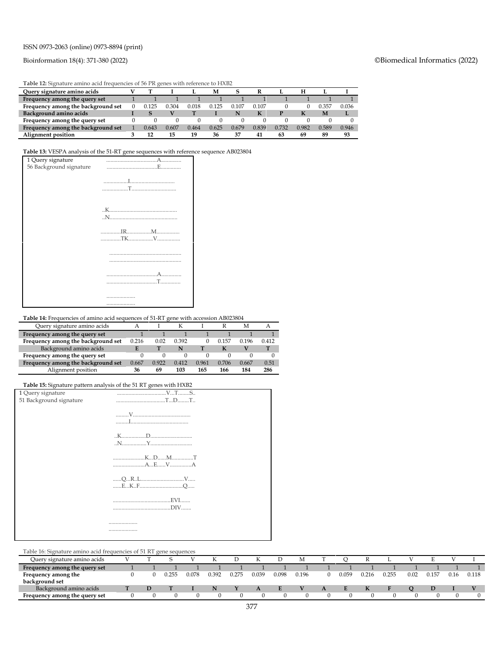#### ISSN 0973-2063 (online) 0973-8894 (print)

#### Bioinformation 18(4): 371-380 (2022) ©Biomedical Informatics (2022)

**Table 12:** Signature amino acid frequencies of 56 PR genes with reference to HXB2

| <b>TWIC IS ORTHUM CHIMIC RENT HEQUETIELS OF SO FIX RETIRE HELLETING TO FIXISE</b> |  |       |       |       |       |       |       |       |       |       |       |  |  |
|-----------------------------------------------------------------------------------|--|-------|-------|-------|-------|-------|-------|-------|-------|-------|-------|--|--|
| Ouery signature amino acids                                                       |  |       |       |       | м     |       |       |       | н     |       |       |  |  |
| Frequency among the query set                                                     |  |       |       |       |       |       |       |       |       |       |       |  |  |
| Frequency among the background set                                                |  |       | 0.304 | 0.018 | 0.125 | 0.107 | 0.107 |       |       | 0.357 | 0.036 |  |  |
| Background amino acids                                                            |  |       |       |       |       | N     |       |       | к     | М     |       |  |  |
| Frequency among the query set                                                     |  |       |       |       |       |       |       |       |       |       |       |  |  |
| Frequency among the background set                                                |  | 0.643 | 0.607 | 0.464 | 0.625 | 0.679 | 0.839 | 0.732 | 0.982 | 0.589 | 0.946 |  |  |
| Alignment position                                                                |  |       | 15    | 19    | 36    | 37    | 41    | 63    | 69    | 89    | 93    |  |  |

#### **Table 13:** VESPA analysis of the 51-RT gene sequences with reference sequence AB023804



**Table 14:** Frequencies of amino acid sequences of 51-RT gene with accession AB023804

| Query signature amino acids        |       |       |       |       |       | М     |       |
|------------------------------------|-------|-------|-------|-------|-------|-------|-------|
| Frequency among the query set      |       |       |       |       |       |       |       |
| Frequency among the background set | 0.216 | 0.02  | 0.392 |       | 0.157 | 0.196 | 0.412 |
| Background amino acids             |       |       |       |       |       |       |       |
| Frequency among the query set      |       |       |       |       |       |       |       |
| Frequency among the background set | 0.667 | 0.922 | 0.412 | 0.961 | 0.706 | 0.667 | 0.51  |
| Alignment position                 | 36    | 69    | 103   | 165   | 166   | 184   | 286   |

#### **Table 15:** Signature pattern analysis of the 51 RT genes with HXB2

|                         | <b>There</b> for explainting patient analysis of the start genes which is the |
|-------------------------|-------------------------------------------------------------------------------|
| 1 Query signature       |                                                                               |
| 51 Background signature |                                                                               |
|                         |                                                                               |
|                         |                                                                               |
|                         |                                                                               |
|                         |                                                                               |
|                         |                                                                               |
|                         |                                                                               |
|                         |                                                                               |
|                         |                                                                               |
|                         |                                                                               |
|                         |                                                                               |
|                         |                                                                               |
|                         |                                                                               |
|                         |                                                                               |
|                         |                                                                               |
|                         |                                                                               |
|                         |                                                                               |
|                         | .                                                                             |
|                         |                                                                               |

Table 16: Signature amino acid frequencies of 51 RT gene sequences

| Table To. Digitature alluno acid ficquencies of 91 IVI gene sequences |  |       |       |       |       |       |       |       |       |       |       |      |       |      |       |
|-----------------------------------------------------------------------|--|-------|-------|-------|-------|-------|-------|-------|-------|-------|-------|------|-------|------|-------|
| Query signature amino acids                                           |  |       |       |       |       |       |       |       |       |       |       |      |       |      |       |
| Frequency among the query set                                         |  |       |       |       |       |       |       |       |       |       |       |      |       |      |       |
| Frequency among the                                                   |  | 0.255 | 0.078 | 0.392 | 0.275 | 0.039 | 0.098 | 0.196 | 0.059 | 0.216 | 0.255 | 0.02 | 0.157 | 0.16 | 0.118 |
| background set                                                        |  |       |       |       |       |       |       |       |       |       |       |      |       |      |       |
| Background amino acids                                                |  |       |       |       |       | A     |       |       |       |       |       |      |       |      |       |
| Frequency among the query set                                         |  |       |       |       |       |       |       |       |       |       |       |      |       |      |       |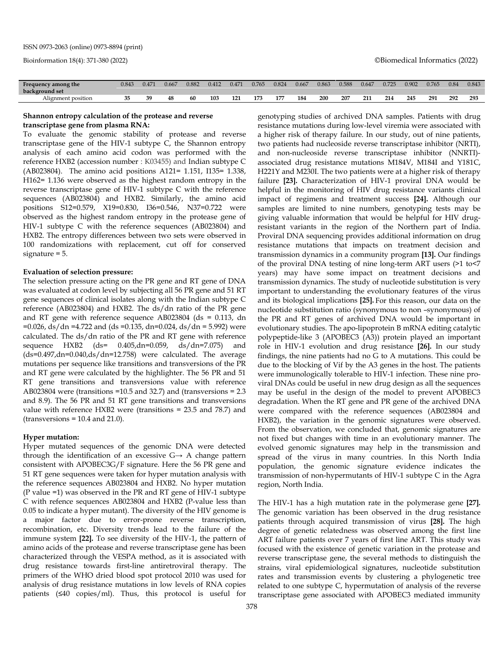| Frequency among the | 0.843 | 0.471 | 0.667 | 0.882 | 0.412 | 0.471 | 0.765 | 0.824 | 0.667 | 0.863 | 0.588 | 0.647 | 0.725 | 0.902 | 0.765 | 0.84 | 0.843 |
|---------------------|-------|-------|-------|-------|-------|-------|-------|-------|-------|-------|-------|-------|-------|-------|-------|------|-------|
| background set      |       |       |       |       |       |       |       |       |       |       |       |       |       |       |       |      |       |
| Alignment position  |       | 39    | 48    | 60    | 103   | 121   | 173   | 177   | 184   | 200   | 207   | 211   | 214   | 245   | 291   | 292  | 293   |
|                     |       |       |       |       |       |       |       |       |       |       |       |       |       |       |       |      |       |

#### **Shannon entropy calculation of the protease and reverse transcriptase gene from plasma RNA:**

To evaluate the genomic stability of protease and reverse transcriptase gene of the HIV-1 subtype C, the Shannon entropy analysis of each amino acid codon was performed with the reference HXB2 (accession number : K03455) and Indian subtype C (AB023804). The amino acid positions A121= 1.151, I135= 1.338, H162= 1.136 were observed as the highest random entropy in the reverse transcriptase gene of HIV-1 subtype C with the reference sequences (AB023804) and HXB2. Similarly, the amino acid positions S12=0.579, X19=0.830, I36=0.546, N37=0.722 were observed as the highest random entropy in the protease gene of HIV-1 subtype C with the reference sequences (AB023804) and HXB2. The entropy differences between two sets were observed in 100 randomizations with replacement, cut off for conserved signature = 5.

#### **Evaluation of selection pressure:**

The selection pressure acting on the PR gene and RT gene of DNA was evaluated at codon level by subjecting all 56 PR gene and 51 RT gene sequences of clinical isolates along with the Indian subtype C reference (AB023804) and HXB2. The ds/dn ratio of the PR gene and RT gene with reference sequence AB023804 (ds = 0.113, dn  $=0.026$ , ds/dn  $=4.722$  and (ds  $=0.135$ , dn=0.024, ds/dn = 5.992) were calculated. The ds/dn ratio of the PR and RT gene with reference sequence HXB2 (ds= 0.405,dn=0.059, ds/dn=7.075) and (ds=0.497,dn=0.040,ds/dn=12.758) were calculated. The average mutations per sequence like transitions and transversions of the PR and RT gene were calculated by the highlighter. The 56 PR and 51 RT gene transitions and transversions value with reference AB023804 were (transitions =10.5 and 32.7) and (transversions = 2.3 and 8.9). The 56 PR and 51 RT gene transitions and transversions value with reference HXB2 were (transitions = 23.5 and 78.7) and  $(transversions = 10.4$  and  $21.0)$ .

#### **Hyper mutation:**

Hyper mutated sequences of the genomic DNA were detected through the identification of an excessive  $G \rightarrow A$  change pattern consistent with APOBEC3G/F signature. Here the 56 PR gene and 51 RT gene sequences were taken for hyper mutation analysis with the reference sequences AB023804 and HXB2. No hyper mutation (P value =1) was observed in the PR and RT gene of HIV-1 subtype C with refence sequences AB023804 and HXB2 (P-value less than 0.05 to indicate a hyper mutant). The diversity of the HIV genome is a major factor due to error-prone reverse transcription, recombination, etc. Diversity trends lead to the failure of the immune system **[22].** To see diversity of the HIV-1, the pattern of amino acids of the protease and reverse transcriptase gene has been characterized through the VESPA method, as it is associated with drug resistance towards first-line antiretroviral therapy. The primers of the WHO dried blood spot protocol 2010 was used for analysis of drug resistance mutations in low levels of RNA copies patients (≤40 copies/ml). Thus, this protocol is useful for genotyping studies of archived DNA samples. Patients with drug resistance mutations during low-level viremia were associated with a higher risk of therapy failure. In our study, out of nine patients, two patients had nucleoside reverse transcriptase inhibitor (NRTI), and non-nucleoside reverse transcriptase inhibitor (NNRTI) associated drug resistance mutations M184V, M184I and Y181C, H221Y and M230I. The two patients were at a higher risk of therapy failure **[23].** Characterization of HIV-1 proviral DNA would be helpful in the monitoring of HIV drug resistance variants clinical impact of regimens and treatment success **[24].** Although our samples are limited to nine numbers, genotyping tests may be giving valuable information that would be helpful for HIV drugresistant variants in the region of the Northern part of India. Proviral DNA sequencing provides additional information on drug resistance mutations that impacts on treatment decision and transmission dynamics in a community program **[13].** Our findings of the proviral DNA testing of nine long-term ART users (>1 to<7 years) may have some impact on treatment decisions and transmission dynamics. The study of nucleotide substitution is very important to understanding the evolutionary features of the virus and its biological implications **[25].** For this reason, our data on the nucleotide substitution ratio (synonymous to non –synonymous) of the PR and RT genes of archived DNA would be important in evolutionary studies. The apo-lipoprotein B mRNA editing catalytic polypeptide-like 3 (APOBEC3 (A3)) protein played an important role in HIV-1 evolution and drug resistance **[26].** In our study findings, the nine patients had no G to A mutations. This could be due to the blocking of Vif by the A3 genes in the host. The patients were immunologically tolerable to HIV-1 infection. These nine proviral DNAs could be useful in new drug design as all the sequences may be useful in the design of the model to prevent APOBEC3 degradation. When the RT gene and PR gene of the archived DNA were compared with the reference sequences (AB023804 and HXB2), the variation in the genomic signatures were observed. From the observation, we concluded that, genomic signatures are not fixed but changes with time in an evolutionary manner. The evolved genomic signatures may help in the transmission and spread of the virus in many countries. In this North India population, the genomic signature evidence indicates the transmission of non-hypermutants of HIV-1 subtype C in the Agra region, North India.

The HIV-1 has a high mutation rate in the polymerase gene **[27].** The genomic variation has been observed in the drug resistance patients through acquired transmission of virus **[28].** The high degree of genetic relatedness was observed among the first line ART failure patients over 7 years of first line ART. This study was focused with the existence of genetic variation in the protease and reverse transcriptase gene, the several methods to distinguish the strains, viral epidemiological signatures, nucleotide substitution rates and transmission events by clustering a phylogenetic tree related to one subtype C, hypermutation of analysis of the reverse transcriptase gene associated with APOBEC3 mediated immunity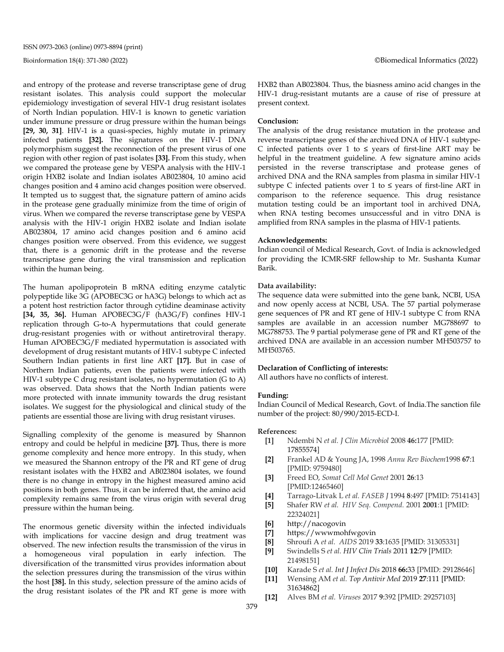and entropy of the protease and reverse transcriptase gene of drug resistant isolates. This analysis could support the molecular epidemiology investigation of several HIV-1 drug resistant isolates of North Indian population. HIV-1 is known to genetic variation under immune pressure or drug pressure within the human beings **[29, 30, 31]**. HIV-1 is a quasi-species, highly mutate in primary infected patients **[32].** The signatures on the HIV-1 DNA polymorphism suggest the reconnection of the present virus of one region with other region of past isolates **[33].** From this study, when we compared the protease gene by VESPA analysis with the HIV-1 origin HXB2 isolate and Indian isolates AB023804, 10 amino acid changes position and 4 amino acid changes position were observed. It tempted us to suggest that, the signature pattern of amino acids in the protease gene gradually minimize from the time of origin of virus. When we compared the reverse transcriptase gene by VESPA analysis with the HIV-1 origin HXB2 isolate and Indian isolate AB023804, 17 amino acid changes position and 6 amino acid changes position were observed. From this evidence, we suggest that, there is a genomic drift in the protease and the reverse transcriptase gene during the viral transmission and replication within the human being.

The human apolipoprotein B mRNA editing enzyme catalytic polypeptide like 3G (APOBEC3G or hA3G) belongs to which act as a potent host restriction factor through cytidine deaminase activity **[34, 35, 36].** Human APOBEC3G/F (hA3G/F) confines HIV-1 replication through G-to-A hypermutations that could generate drug-resistant progenies with or without antiretroviral therapy. Human APOBEC3G/F mediated hypermutation is associated with development of drug resistant mutants of HIV-1 subtype C infected Southern Indian patients in first line ART **[17].** But in case of Northern Indian patients, even the patients were infected with HIV-1 subtype C drug resistant isolates, no hypermutation (G to A) was observed. Data shows that the North Indian patients were more protected with innate immunity towards the drug resistant isolates. We suggest for the physiological and clinical study of the patients are essential those are living with drug resistant viruses.

Signalling complexity of the genome is measured by Shannon entropy and could be helpful in medicine **[37].** Thus, there is more genome complexity and hence more entropy. In this study, when we measured the Shannon entropy of the PR and RT gene of drug resistant isolates with the HXB2 and AB023804 isolates, we found there is no change in entropy in the highest measured amino acid positions in both genes. Thus, it can be inferred that, the amino acid complexity remains same from the virus origin with several drug pressure within the human being.

The enormous genetic diversity within the infected individuals with implications for vaccine design and drug treatment was observed. The new infection results the transmission of the virus in a homogeneous viral population in early infection. The diversification of the transmitted virus provides information about the selection pressures during the transmission of the virus within the host **[38].** In this study, selection pressure of the amino acids of the drug resistant isolates of the PR and RT gene is more with

HXB2 than AB023804. Thus, the biasness amino acid changes in the HIV-1 drug-resistant mutants are a cause of rise of pressure at present context.

#### **Conclusion:**

The analysis of the drug resistance mutation in the protease and reverse transcriptase genes of the archived DNA of HIV-1 subtype-C infected patients over 1 to ≤ years of first-line ART may be helpful in the treatment guideline. A few signature amino acids persisted in the reverse transcriptase and protease genes of archived DNA and the RNA samples from plasma in similar HIV-1 subtype C infected patients over 1 to  $\leq$  years of first-line ART in comparison to the reference sequence. This drug resistance mutation testing could be an important tool in archived DNA, when RNA testing becomes unsuccessful and in vitro DNA is amplified from RNA samples in the plasma of HIV-1 patients.

#### **Acknowledgements:**

Indian council of Medical Research, Govt. of India is acknowledged for providing the ICMR-SRF fellowship to Mr. Sushanta Kumar Barik.

#### **Data availability:**

The sequence data were submitted into the gene bank, NCBI, USA and now openly access at NCBI, USA. The 57 partial polymerase gene sequences of PR and RT gene of HIV-1 subtype C from RNA samples are available in an accession number MG788697 to MG788753. The 9 partial polymerase gene of PR and RT gene of the archived DNA are available in an accession number MH503757 to MH503765.

#### **Declaration of Conflicting of interests:**

All authors have no conflicts of interest.

#### **Funding:**

Indian Council of Medical Research, Govt. of India.The sanction file number of the project: 80/990/2015-ECD-I.

#### **References:**

- **[1]** Ndembi N *et al. J Clin Microbiol* 2008 **46:**177 [PMID: 17855574]
- **[2]** Frankel AD & Young JA, 1998 *Annu Rev Biochem*1998 **67**:1 [PMID: 9759480]
- **[3]** Freed EO, *Somat Cell Mol Genet* 2001 **26**:13 [PMID:12465460]
- **[4]** Tarrago‐Litvak L *et al. FASEB J* 1994 **8**:497 [PMID: 7514143]
- **[5]** Shafer RW *et al. HIV Seq. Compend.* 2001 **2001**:1 [PMID: 22324021]
- **[6]** http://nacogovin
- **[7]** https://wwwmohfwgovin
- **[8]** Shroufi A *et al. AIDS* 2019 **33**:1635 [PMID: 31305331]
- **[9]** Swindells S *et al. HIV Clin Trials* 2011 **12**:79 [PMID: 21498151]
- **[10]** Karade S *et al. Int J Infect Dis* 2018 **66:**33 [PMID: 29128646]
- **[11]** Wensing AM *et al. Top Antivir Med* 2019 **27**:111 [PMID: 31634862]
- **[12]** Alves BM *et al. Viruses* 2017 **9**:392 [PMID: 29257103]